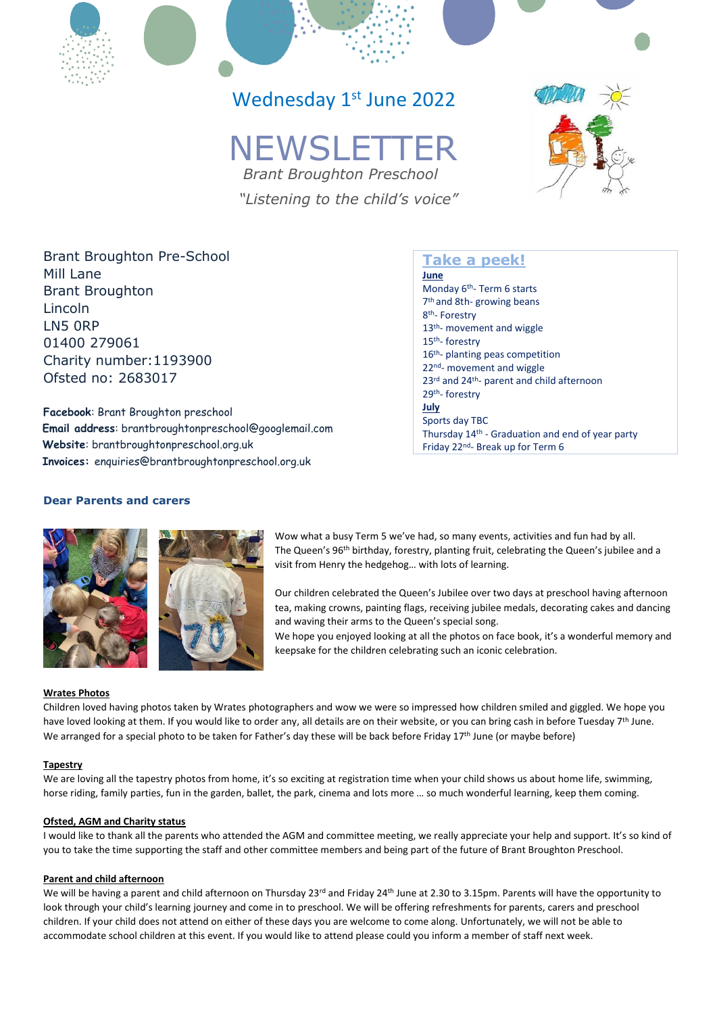## Wednesday 1st June 2022

# **NEWSLETTI**

 *Brant Broughton Preschool "Listening to the child's voice"*



Brant Broughton Pre-School Mill Lane Brant Broughton Lincoln LN5 0RP 01400 279061 Charity number:1193900 Ofsted no: 2683017

**Facebook**: Brant Broughton preschool **Email address**: brantbroughtonpreschool@googlemail.com **Website**: brantbroughtonpreschool.org.uk **Invoices:** enquiries@brantbroughtonpreschool.org.uk

### **Take a peek!**

**June** Monday 6<sup>th</sup>- Term 6 starts 7 th and 8th- growing beans 8 th- Forestry 13<sup>th</sup>- movement and wiggle 15th- forestry 16<sup>th</sup>- planting peas competition 22<sup>nd</sup>- movement and wiggle 23<sup>rd</sup> and 24<sup>th</sup>- parent and child afternoon 29th- forestry **July** Sports day TBC Thursday 14<sup>th</sup> - Graduation and end of year party Friday 22nd- Break up for Term 6

#### **Dear Parents and carers**



Wow what a busy Term 5 we've had, so many events, activities and fun had by all. The Queen's 96<sup>th</sup> birthday, forestry, planting fruit, celebrating the Queen's jubilee and a visit from Henry the hedgehog… with lots of learning.

Our children celebrated the Queen's Jubilee over two days at preschool having afternoon tea, making crowns, painting flags, receiving jubilee medals, decorating cakes and dancing and waving their arms to the Queen's special song.

We hope you enjoyed looking at all the photos on face book, it's a wonderful memory and keepsake for the children celebrating such an iconic celebration.

#### **Wrates Photos**

Children loved having photos taken by Wrates photographers and wow we were so impressed how children smiled and giggled. We hope you have loved looking at them. If you would like to order any, all details are on their website, or you can bring cash in before Tuesday 7<sup>th</sup> June. We arranged for a special photo to be taken for Father's day these will be back before Friday 17th June (or maybe before)

#### **Tapestry**

We are loving all the tapestry photos from home, it's so exciting at registration time when your child shows us about home life, swimming, horse riding, family parties, fun in the garden, ballet, the park, cinema and lots more … so much wonderful learning, keep them coming.

#### **Ofsted, AGM and Charity status**

I would like to thank all the parents who attended the AGM and committee meeting, we really appreciate your help and support. It's so kind of you to take the time supporting the staff and other committee members and being part of the future of Brant Broughton Preschool.

#### **Parent and child afternoon**

We will be having a parent and child afternoon on Thursday 23<sup>rd</sup> and Friday 24<sup>th</sup> June at 2.30 to 3.15pm. Parents will have the opportunity to look through your child's learning journey and come in to preschool. We will be offering refreshments for parents, carers and preschool children. If your child does not attend on either of these days you are welcome to come along. Unfortunately, we will not be able to accommodate school children at this event. If you would like to attend please could you inform a member of staff next week.